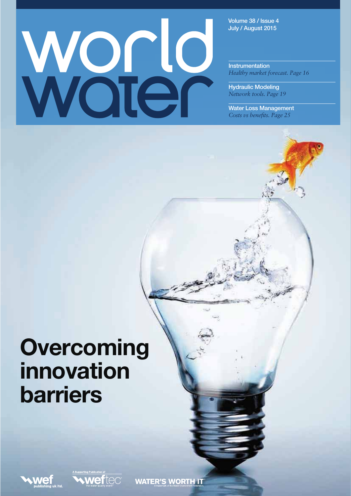# Woten

**Volume 38 / Issue 4 July / August 2015**

**Instrumentation** *Healthy market forecast. Page 16*

**Hydraulic Modeling**  *Network tools. Page 19*

**Water Loss Management**  *Costs vs benefits. Page 25*

# **Overcoming innovation barriers**



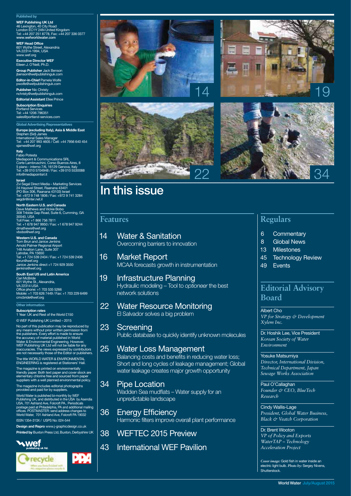#### **Published by**

**WEF Publishing UK Ltd** 46 Lexington, 40 City Road London EC1Y 2AN United Kingdom Tel: +44 207 251 8778, Fax: +44 207 336 0377 **www.wefworldwater.com**

**WEF Head Office** 601 Wythe Street, Alexandria VA 22314-1994, USA www.wef.org

**Executive Director WEF** Eileen J. O'Neill, Ph.D.

**Group Publisher** Jack Benson jbenson@wefpublishinguk.com **Editor-in-Chief** Pamela Wolfe pwolfe@wefpublishinguk.com

**Publisher** Nic Christy nchristy@wefpublishinguk.com **Editorial Assistant** Ellee Prince

**Subscription Enquiries** Portland Services Tel: +44 1206 796351 sales@portland-services.com

# **Global Advertising Representatives**

**Europe (excluding Italy), Asia & Middle East<br>Stephen (Sid) James<br>International Sales Manager<br>Tel: +44 207 993 4605 / Cell: +44 7956 640 454** sjames@wef.org

# **Italy**<br>Fabio Potesta<br>Mediapoint & Communications SRL

Corte Lambruschini, Corso Buenos Aires, 8 5 piano - interno 7/6, 16129 Genova, Italy Tel: +39 010 5704948 / Fax: +39 010 5530088 info@mediapointsrl.it

**Israel**<br>Zvi Segal Direct Media – Marketing Services<br>24 Hayovel Street, Raanana 43401<br>(PO Box 306, Raanana 43103) Israel<br>Tel: +972 9 748 1806 / Fax: +972 9 741 3284 segdir@inter.net.il

**North Eastern U.S. and Canada<br>Dave Mathews and Vickie Bobo<br>308 Tribble Gap Road, Suite 6, Cumming, GA<br>30040, USA** Toll Free: +1 866 756 7811 Tel: +1 678 947 9950 / Fax: +1 678 947 9244

dmathews@wef.org vbobo@wef.org

**Western U.S. and Canada<br>Tom Brun and Janice Jenkins<br>Arnold Palmer Regional Airport<br>148 Aviation Lane, Suite 307<br>Latrobe, PA 15650<br>Tel: +1 724 539 2404 / Fax: +1 724 539 2406** tbrun@wef.org Janice Jenkins direct +1 724 929 3550 ijenkins@wef.org

**South East US and Latin America**

Cari McBride 601 Wythe St., Alexandria, VA 22314 USA Office phone: +1 703 535 5266 Mobile: +1 703 626 7449 / Fax: +1 703 229 6499 cmcbride@wef.org

#### **Other information**

**Subscription rates**  1 Year: UK and Rest of the World £150

© WEF Publishing UK Limited – 2015 No part of this publication may be reproduced by any means without prior written permission from the publishers. Every effort is made to ensure the accuracy of material published in World Water & Environmental Engineering. However,<br>WEF Publishing UK Ltd will not be liable for any<br>inaccuracies. The views expressed by contributors<br>are not necessarily those of the Editor or publishers. The title WORLD WATER & ENVIRONMENTAL

ENGINEERING is registered at Stationers' Hall. The magazine is printed on environmentally friendly paper. Both text paper and cover stock are elementary chlorine free and sourced from paper suppliers with a well planned environmental policy. The magazine includes editorial photographs provided and paid for by suppliers.

World Water is published bi-monthly by WEF Publishing UK, and distributed in the USA by Asendia<br>USA, 701 Ashland Ave, Folcroft PA.. Periodicals<br>postage paid at Philadelphia, PA and additional mailing<br>offices. POSTMASTER: send address changes to<br>World Water, 701 Ash ISSN 1354-313X / USPS No: 024-544

**Design and Repro** www.j-graphicdesign.co.uk **Printed by** Buxton Press Ltd, Buxton, Derbyshire UK

**P** 







# **In this issue**

## **Features**

- 14 Water & Sanitation Overcoming barriers to innovation
- 16 Market Report MCAA forecasts growth in instrumentation
- 19 Infrastructure Planning Hydraulic modeling – Tool to *optioneer* the best network solutions
- 22 Water Resource Monitoring El Salvador solves a big problem

### 23 Screening

Public database to quickly identify unknown molecules

25 Water Loss Management

 Balancing costs and benefits in reducing water loss; Short and long cycles of leakage management; Global water leakage creates major growth opportunity

### 34 Pipe Location

 Wadden Sea mudflats – Water supply for an unpredictable landscape

# 36 Energy Efficiency

Harmonic filters improve overall plant performance

# 38 WEFTEC 2015 Preview

# 43 International WEF Pavilion





# **Regulars**

- 6 Commentary
- 8 Global News
- 13 Milestones
- 45 Technology Review
- 49 Events

# **Editorial Advisory Board**

Albert Cho *VP for Strategy & Development Xylem Inc.*

Dr. Hoshik Lee, Vice President *Korean Society of Water Environment*

Yosuke Matsumiya *Director, International Division, Technical Department, Japan Sewage Works Association* 

Paul O'Callaghan *Founder & CEO, BlueTech Research*

Cindy Wallis-Lage *President, Global Water Business, Black & Veatch Corporation*

Dr. Brent Wooton *VP of Policy and Exports WaterTAP – Technology Acceleration Project*

*Cover image:* Gold fish in water inside an electric light bulb. *Photo by:* Sergey Nivens, Shutterstock.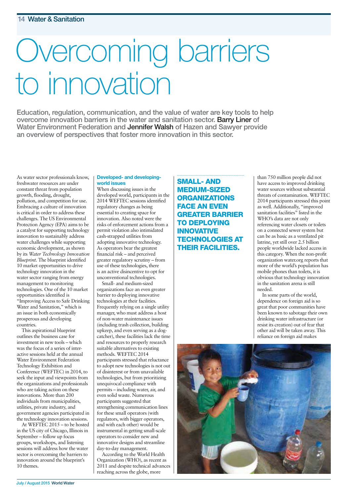# Overcoming barriers to innovation

**Education, regulation, communication, and the value of water are key tools to help overcome innovation barriers in the water and sanitation sector. Barry Liner of Water Environment Federation and Jennifer Walsh of Hazen and Sawyer provide an overview of perspectives that foster more innovation in this sector.** 

As water sector professionals know, freshwater resources are under constant threat from population growth, flooding, drought, pollution, and competition for use. Embracing a culture of innovation is critical in order to address these challenges. The US Environmental Protection Agency (EPA) aims to be a catalyst for supporting technology innovation to sustainably address water challenges while supporting economic development, as shown by its *Water Technology Innovation Blueprint*. The blueprint identified 10 market opportunities to drive technology innovation in the water sector ranging from energy management to monitoring technologies. One of the 10 market opportunities identified is "Improving Access to Safe Drinking Water and Sanitation," which is an issue in both economically prosperous and developing countries.

This aspirational blueprint outlines the business case for investment in new tools – which was the focus of a series of interactive sessions held at the annual Water Environment Federation Technology Exhibition and Conference (WEFTEC) in 2014, to seek the input and viewpoints from the organizations and professionals who are taking action on these innovations. More than 200 individuals from municipalities, utilities, private industry, and government agencies participated in the technology innovation sessions.

At WEFTEC 2015 – to be hosted in the US city of Chicago, Illinois in September – follow up focus groups, workshops, and listening sessions will address how the water sector is overcoming the barriers to innovation around the blueprint's 10 themes.

#### **Developed- and developingworld issues**

When discussing issues in the developed world, participants in the 2014 WEFTEC sessions identified regulatory changes as being essential to creating space for innovation. Also noted were the risks of enforcement actions from a permit violation also intimidated cash-strapped utilities from adopting innovative technology. As operators bear the greatest financial risk – and perceived greater regulatory scrutiny – from use of these technologies, there is an active disincentive to opt for unconventional technologies.

Small- and medium-sized organizations face an even greater barrier to deploying innovative technologies at their facilities. Frequently relying on a single utility manager, who must address a host of non-water maintenance issues (including trash collection, building upkeep, and even serving as a dogcatcher), these facilities lack the time and resources to properly research suitable alternatives to existing methods. WEFTEC 2014 participants stressed that reluctance to adopt new technologies is not out of disinterest or from unavailable technologies, but from prioritizing unequivocal compliance with permits – including water, air, and even solid waste. Numerous participants suggested that strengthening communication lines for these small operators (with regulators, with bigger operators, and with each other) would be instrumental in getting small-scale operators to consider new and innovative designs and streamline day-to-day management.

According to the World Health Organization (WHO), as recent as 2011 and despite technical advances reaching across the globe, more

**SMALL- AND MEDIUM-SIZED ORGANIZATIONS FACE AN EVEN GREATER BARRIER TO DEPLOYING INNOVATIVE TECHNOLOGIES AT THEIR FACILITIES.**

than 750 million people did not have access to improved drinking water sources without substantial threats of contamination. WEFTEC 2014 participants stressed this point as well. Additionally, "improved sanitation facilities" listed in the WHO's data are not only referencing water closets or toilets on a connected sewer system but can be as basic as a ventilated pit latrine, yet still over 2.5 billion people worldwide lacked access in this category. When the non-profit organization water.org reports that more of the world's population has mobile phones than toilets, it is obvious that technology innovation in the sanitation arena is still needed.

In some parts of the world, dependence on foreign aid is so great that poor communities have been known to sabotage their own drinking water infrastructure (or resist its creation) out of fear that other aid will be taken away. This reliance on foreign aid makes